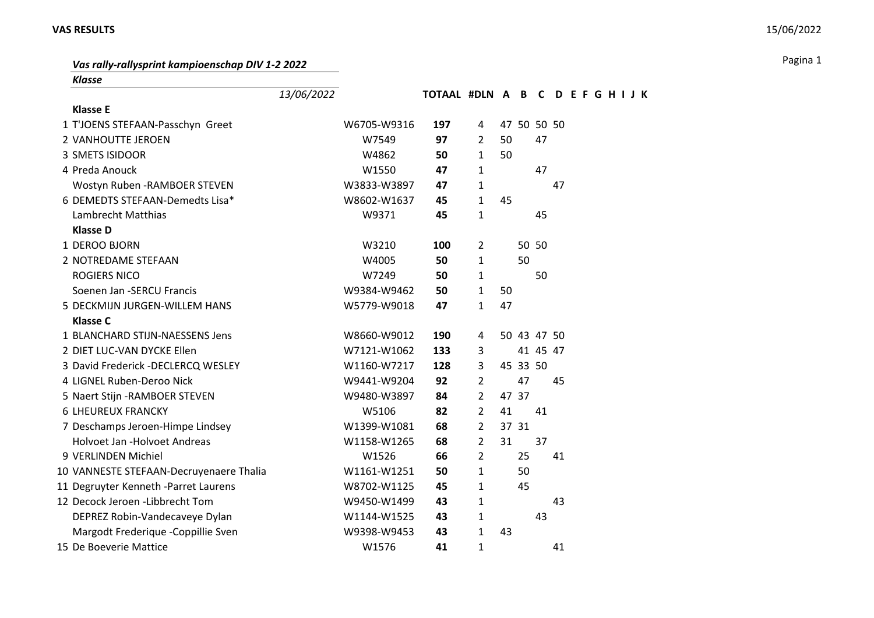## **VAS RESULTS** 15/06/2022

## Pagina 1 *Vas rally-rallysprint kampioenschap DIV 1-2 2022*

*Klasse*

|                                         | 13/06/2022 |             | TOTAAL #DLN A B C D E F G H I J K |                |       |    |             |    |  |  |  |
|-----------------------------------------|------------|-------------|-----------------------------------|----------------|-------|----|-------------|----|--|--|--|
| <b>Klasse E</b>                         |            |             |                                   |                |       |    |             |    |  |  |  |
| 1 T'JOENS STEFAAN-Passchyn Greet        |            | W6705-W9316 | 197                               | 4              |       |    | 47 50 50 50 |    |  |  |  |
| 2 VANHOUTTE JEROEN                      |            | W7549       | 97                                | $\overline{2}$ | 50    |    | 47          |    |  |  |  |
| 3 SMETS ISIDOOR                         |            | W4862       | 50                                | $\mathbf{1}$   | 50    |    |             |    |  |  |  |
| 4 Preda Anouck                          |            | W1550       | 47                                | $\mathbf{1}$   |       |    | 47          |    |  |  |  |
| Wostyn Ruben - RAMBOER STEVEN           |            | W3833-W3897 | 47                                | 1              |       |    |             | 47 |  |  |  |
| 6 DEMEDTS STEFAAN-Demedts Lisa*         |            | W8602-W1637 | 45                                | $\mathbf{1}$   | 45    |    |             |    |  |  |  |
| Lambrecht Matthias                      |            | W9371       | 45                                | 1              |       |    | 45          |    |  |  |  |
| <b>Klasse D</b>                         |            |             |                                   |                |       |    |             |    |  |  |  |
| 1 DEROO BJORN                           |            | W3210       | 100                               | $\overline{2}$ |       |    | 50 50       |    |  |  |  |
| 2 NOTREDAME STEFAAN                     |            | W4005       | 50                                | $\mathbf{1}$   |       | 50 |             |    |  |  |  |
| <b>ROGIERS NICO</b>                     |            | W7249       | 50                                | 1              |       |    | 50          |    |  |  |  |
| Soenen Jan -SERCU Francis               |            | W9384-W9462 | 50                                | $\mathbf{1}$   | 50    |    |             |    |  |  |  |
| 5 DECKMIJN JURGEN-WILLEM HANS           |            | W5779-W9018 | 47                                | $\mathbf{1}$   | 47    |    |             |    |  |  |  |
| <b>Klasse C</b>                         |            |             |                                   |                |       |    |             |    |  |  |  |
| 1 BLANCHARD STIJN-NAESSENS Jens         |            | W8660-W9012 | 190                               | 4              |       |    | 50 43 47 50 |    |  |  |  |
| 2 DIET LUC-VAN DYCKE Ellen              |            | W7121-W1062 | 133                               | 3              |       |    | 41 45 47    |    |  |  |  |
| 3 David Frederick -DECLERCQ WESLEY      |            | W1160-W7217 | 128                               | 3              |       |    | 45 33 50    |    |  |  |  |
| 4 LIGNEL Ruben-Deroo Nick               |            | W9441-W9204 | 92                                | $\overline{2}$ |       | 47 |             | 45 |  |  |  |
| 5 Naert Stijn - RAMBOER STEVEN          |            | W9480-W3897 | 84                                | $\overline{2}$ | 47 37 |    |             |    |  |  |  |
| <b>6 LHEUREUX FRANCKY</b>               |            | W5106       | 82                                | $\overline{2}$ | 41    |    | 41          |    |  |  |  |
| 7 Deschamps Jeroen-Himpe Lindsey        |            | W1399-W1081 | 68                                | $\overline{2}$ | 37 31 |    |             |    |  |  |  |
| Holvoet Jan -Holvoet Andreas            |            | W1158-W1265 | 68                                | $\overline{2}$ | 31    |    | 37          |    |  |  |  |
| 9 VERLINDEN Michiel                     |            | W1526       | 66                                | $\overline{2}$ |       | 25 |             | 41 |  |  |  |
| 10 VANNESTE STEFAAN-Decruyenaere Thalia |            | W1161-W1251 | 50                                | $\mathbf{1}$   |       | 50 |             |    |  |  |  |
| 11 Degruyter Kenneth -Parret Laurens    |            | W8702-W1125 | 45                                | 1              |       | 45 |             |    |  |  |  |
| 12 Decock Jeroen -Libbrecht Tom         |            | W9450-W1499 | 43                                | 1              |       |    |             | 43 |  |  |  |
| DEPREZ Robin-Vandecaveye Dylan          |            | W1144-W1525 | 43                                | 1              |       |    | 43          |    |  |  |  |
| Margodt Frederique -Coppillie Sven      |            | W9398-W9453 | 43                                | $\mathbf{1}$   | 43    |    |             |    |  |  |  |
| 15 De Boeverie Mattice                  |            | W1576       | 41                                | $\mathbf{1}$   |       |    |             | 41 |  |  |  |